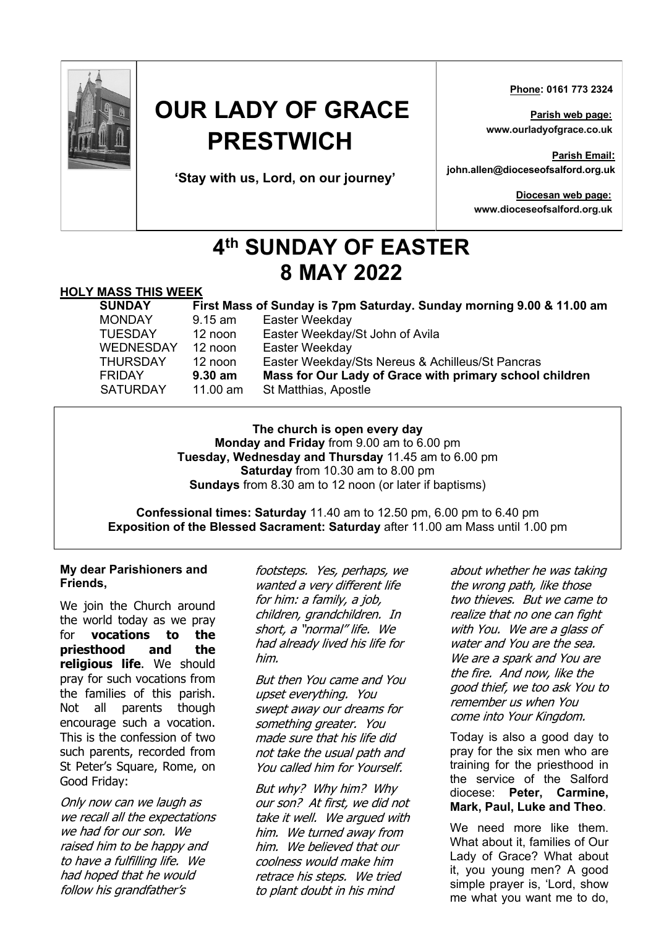

# **OUR LADY OF GRACE PRESTWICH**

**'Stay with us, Lord, on our journey'**

 **Phone: 0161 773 2324**

**Parish web page: www.ourladyofgrace.co.uk**

**Parish Email: john.allen@dioceseofsalford.org.uk**

> **Diocesan web page: www.dioceseofsalford.org.uk**

# **4th SUNDAY OF EASTER 8 MAY 2022**

### **HOLY MASS THIS WEEK**

| <b>SUNDAY</b>    |                   | First Mass of Sunday is 7pm Saturday. Sunday morning 9.00 & 11.00 am |
|------------------|-------------------|----------------------------------------------------------------------|
| <b>MONDAY</b>    | $9.15$ am         | Easter Weekday                                                       |
| <b>TUESDAY</b>   | 12 noon           | Easter Weekday/St John of Avila                                      |
| <b>WEDNESDAY</b> | 12 noon           | Easter Weekday                                                       |
| <b>THURSDAY</b>  | 12 noon           | Easter Weekday/Sts Nereus & Achilleus/St Pancras                     |
| <b>FRIDAY</b>    | $9.30 \text{ am}$ | Mass for Our Lady of Grace with primary school children              |
| <b>SATURDAY</b>  | 11.00 $am$        | St Matthias, Apostle                                                 |

**The church is open every day Monday and Friday** from 9.00 am to 6.00 pm **Tuesday, Wednesday and Thursday** 11.45 am to 6.00 pm **Saturday** from 10.30 am to 8.00 pm **Sundays** from 8.30 am to 12 noon (or later if baptisms)

**Confessional times: Saturday** 11.40 am to 12.50 pm, 6.00 pm to 6.40 pm **Exposition of the Blessed Sacrament: Saturday** after 11.00 am Mass until 1.00 pm

### **My dear Parishioners and Friends,**

We join the Church around the world today as we pray for **vocations to the priesthood and the religious life**. We should pray for such vocations from the families of this parish. Not all parents though encourage such a vocation. This is the confession of two such parents, recorded from St Peter's Square, Rome, on Good Friday:

Only now can we laugh as we recall all the expectations we had for our son. We raised him to be happy and to have a fulfilling life. We had hoped that he would follow his grandfather's

footsteps. Yes, perhaps, we wanted a very different life for him: a family, a job, children, grandchildren. In short, a "normal" life. We had already lived his life for him.

But then You came and You upset everything. You swept away our dreams for something greater. You made sure that his life did not take the usual path and You called him for Yourself.

But why? Why him? Why our son? At first, we did not take it well. We argued with him. We turned away from him. We believed that our coolness would make him retrace his steps. We tried to plant doubt in his mind

about whether he was taking the wrong path, like those two thieves. But we came to realize that no one can fight with You. We are a glass of water and You are the sea. We are a spark and You are the fire. And now, like the good thief, we too ask You to remember us when You come into Your Kingdom.

Today is also a good day to pray for the six men who are training for the priesthood in the service of the Salford diocese: **Peter, Carmine, Mark, Paul, Luke and Theo**.

We need more like them. What about it, families of Our Lady of Grace? What about it, you young men? A good simple prayer is, 'Lord, show me what you want me to do,